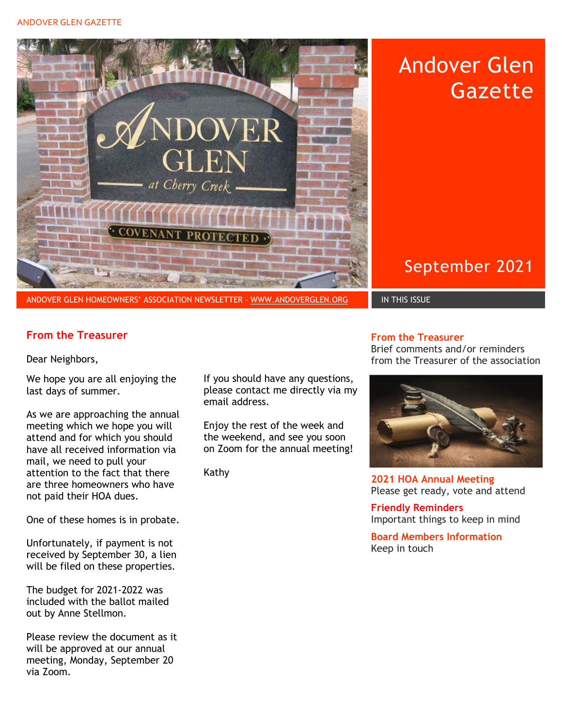### ANDOVER GLEN GAZETTE



Andover Glen Gazette

September 2021

## **From the Treasurer**

Dear Neighbors,

We hope you are all enjoying the last days of summer.

As we are approaching the annual meeting which we hope you will attend and for which you should have all received information via mail, we need to pull your attention to the fact that there are three homeowners who have not paid their HOA dues.

One of these homes is in probate.

Unfortunately, if payment is not received by September 30, a lien will be filed on these properties.

The budget for 2021-2022 was included with the ballot mailed out by Anne Stellmon.

Please review the document as it will be approved at our annual meeting, Monday, September 20 via Zoom.

If you should have any questions, please contact me directly via my email address.

Enjoy the rest of the week and the weekend, and see you soon on Zoom for the annual meeting!

Kathy

#### **From the Treasurer**

Brief comments and/or reminders from the Treasurer of the association



**2021 HOA Annual Meeting** Please get ready, vote and attend

**Friendly Reminders**  Important things to keep in mind

**Board Members Information**  Keep in touch